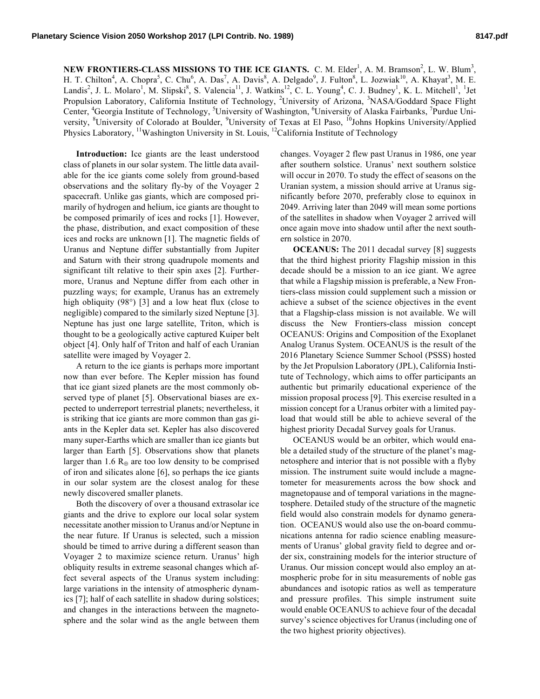**NEW FRONTIERS-CLASS MISSIONS TO THE ICE GIANTS.** C. M. Elder<sup>1</sup>, A. M. Bramson<sup>2</sup>, L. W. Blum<sup>3</sup>, H. T. Chilton<sup>4</sup>, A. Chopra<sup>5</sup>, C. Chu<sup>6</sup>, A. Das<sup>7</sup>, A. Davis<sup>8</sup>, A. Delgado<sup>9</sup>, J. Fulton<sup>8</sup>, L. Jozwiak<sup>10</sup>, A. Khayat<sup>3</sup>, M. E. Landis<sup>2</sup>, J. L. Molaro<sup>1</sup>, M. Slipski<sup>8</sup>, S. Valencia<sup>11</sup>, J. Watkins<sup>12</sup>, C. L. Young<sup>4</sup>, C. J. Budney<sup>1</sup>, K. L. Mitchell<sup>1</sup>, <sup>1</sup>Jet Propulsion Laboratory, California Institute of Technology, <sup>2</sup>University of Arizona, <sup>3</sup>NASA/Goddard Space Flight Center, <sup>4</sup>Georgia Institute of Technology, <sup>5</sup>University of Washington, <sup>6</sup>University of Alaska Fairbanks, <sup>7</sup>Purdue University, <sup>8</sup>University of Colorado at Boulder, <sup>9</sup>University of Texas at El Paso, <sup>10</sup>Johns Hopkins University/Applied Physics Laboratory, <sup>11</sup>Washington University in St. Louis, <sup>12</sup>California Institute of Technology

**Introduction:** Ice giants are the least understood class of planets in our solar system. The little data available for the ice giants come solely from ground-based observations and the solitary fly-by of the Voyager 2 spacecraft. Unlike gas giants, which are composed primarily of hydrogen and helium, ice giants are thought to be composed primarily of ices and rocks [1]. However, the phase, distribution, and exact composition of these ices and rocks are unknown [1]. The magnetic fields of Uranus and Neptune differ substantially from Jupiter and Saturn with their strong quadrupole moments and significant tilt relative to their spin axes [2]. Furthermore, Uranus and Neptune differ from each other in puzzling ways; for example, Uranus has an extremely high obliquity (98°) [3] and a low heat flux (close to negligible) compared to the similarly sized Neptune [3]. Neptune has just one large satellite, Triton, which is thought to be a geologically active captured Kuiper belt object [4]. Only half of Triton and half of each Uranian satellite were imaged by Voyager 2.

A return to the ice giants is perhaps more important now than ever before. The Kepler mission has found that ice giant sized planets are the most commonly observed type of planet [5]. Observational biases are expected to underreport terrestrial planets; nevertheless, it is striking that ice giants are more common than gas giants in the Kepler data set. Kepler has also discovered many super-Earths which are smaller than ice giants but larger than Earth [5]. Observations show that planets larger than 1.6  $R_{\oplus}$  are too low density to be comprised of iron and silicates alone [6], so perhaps the ice giants in our solar system are the closest analog for these newly discovered smaller planets.

Both the discovery of over a thousand extrasolar ice giants and the drive to explore our local solar system necessitate another mission to Uranus and/or Neptune in the near future. If Uranus is selected, such a mission should be timed to arrive during a different season than Voyager 2 to maximize science return. Uranus' high obliquity results in extreme seasonal changes which affect several aspects of the Uranus system including: large variations in the intensity of atmospheric dynamics [7]; half of each satellite in shadow during solstices; and changes in the interactions between the magnetosphere and the solar wind as the angle between them

changes. Voyager 2 flew past Uranus in 1986, one year after southern solstice. Uranus' next southern solstice will occur in 2070. To study the effect of seasons on the Uranian system, a mission should arrive at Uranus significantly before 2070, preferably close to equinox in 2049. Arriving later than 2049 will mean some portions of the satellites in shadow when Voyager 2 arrived will once again move into shadow until after the next southern solstice in 2070.

**OCEANUS:** The 2011 decadal survey [8] suggests that the third highest priority Flagship mission in this decade should be a mission to an ice giant. We agree that while a Flagship mission is preferable, a New Frontiers-class mission could supplement such a mission or achieve a subset of the science objectives in the event that a Flagship-class mission is not available. We will discuss the New Frontiers-class mission concept OCEANUS: Origins and Composition of the Exoplanet Analog Uranus System. OCEANUS is the result of the 2016 Planetary Science Summer School (PSSS) hosted by the Jet Propulsion Laboratory (JPL), California Institute of Technology, which aims to offer participants an authentic but primarily educational experience of the mission proposal process [9]. This exercise resulted in a mission concept for a Uranus orbiter with a limited payload that would still be able to achieve several of the highest priority Decadal Survey goals for Uranus.

OCEANUS would be an orbiter, which would enable a detailed study of the structure of the planet's magnetosphere and interior that is not possible with a flyby mission. The instrument suite would include a magnetometer for measurements across the bow shock and magnetopause and of temporal variations in the magnetosphere. Detailed study of the structure of the magnetic field would also constrain models for dynamo generation. OCEANUS would also use the on-board communications antenna for radio science enabling measurements of Uranus' global gravity field to degree and order six, constraining models for the interior structure of Uranus. Our mission concept would also employ an atmospheric probe for in situ measurements of noble gas abundances and isotopic ratios as well as temperature and pressure profiles. This simple instrument suite would enable OCEANUS to achieve four of the decadal survey's science objectives for Uranus (including one of the two highest priority objectives).